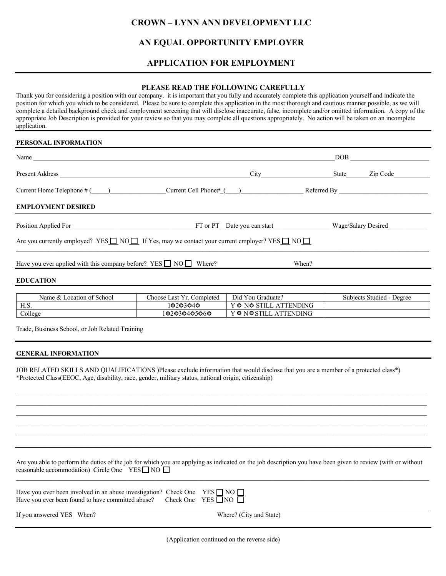# **CROWN – LYNN ANN DEVELOPMENT LLC**

## **AN EQUAL OPPORTUNITY EMPLOYER**

## **APPLICATION FOR EMPLOYMENT**

### **PLEASE READ THE FOLLOWING CAREFULLY**

Thank you for considering a position with our company. it is important that you fully and accurately complete this application yourself and indicate the position for which you which to be considered. Please be sure to complete this application in the most thorough and cautious manner possible, as we will complete a detailed background check and employment screening that will disclose inaccurate, false, incomplete and/or omitted information. A copy of the appropriate Job Description is provided for your review so that you may complete all questions appropriately. No action will be taken on an incomplete application.

### **PERSONAL INFORMATION**

| Name $\_\_\_\_\_\_\_\$                                                                                              |                                                 | DOB   |                           |
|---------------------------------------------------------------------------------------------------------------------|-------------------------------------------------|-------|---------------------------|
|                                                                                                                     |                                                 | State | Zip Code                  |
| Current Home Telephone # ( ) Current Cell Phone# ( ) Referred By                                                    |                                                 |       |                           |
| <b>EMPLOYMENT DESIRED</b>                                                                                           |                                                 |       |                           |
| Position Applied For Contract Contract Property FT or PT Date you can start Wage/Salary Desired                     |                                                 |       |                           |
| Are you currently employed? YES $\Box$ NO $\Box$ If Yes, may we contact your current employer? YES $\Box$ NO $\Box$ |                                                 |       |                           |
| Have you ever applied with this company before? YES $\Box$ NO $\Box$ Where?                                         |                                                 | When? |                           |
| <b>EDUCATION</b>                                                                                                    |                                                 |       |                           |
| Name $\&$ Location of School                                                                                        | $Choose I set Vr$ Completed $Ini$ Vou Graduate? |       | Subjects Studied - Degree |

| Name & 1<br>School<br>Location of ' | $\sim$<br>Choose Last<br>. Completed | Did You Graduate?                              | Subjects Studied - Degree |
|-------------------------------------|--------------------------------------|------------------------------------------------|---------------------------|
| H.S.                                | 10203040                             | <b>\TTENDING</b><br>Y ONO<br><b>STILL</b><br>A |                           |
| College                             | 102030405060                         | Y ON OSTILL<br><b>ATTENDING</b>                |                           |

Trade, Business School, or Job Related Training

#### **GENERAL INFORMATION**

JOB RELATED SKILLS AND QUALIFICATIONS )Please exclude information that would disclose that you are a member of a protected class\*) \*Protected Class(EEOC, Age, disability, race, gender, military status, national origin, citizenship)

Are you able to perform the duties of the job for which you are applying as indicated on the job description you have been given to review (with or without reasonable accommodation) Circle One  $YES \Box NO \Box$  $\mathcal{L}_\mathcal{L} = \{ \mathcal{L}_\mathcal{L} = \{ \mathcal{L}_\mathcal{L} = \{ \mathcal{L}_\mathcal{L} = \{ \mathcal{L}_\mathcal{L} = \{ \mathcal{L}_\mathcal{L} = \{ \mathcal{L}_\mathcal{L} = \{ \mathcal{L}_\mathcal{L} = \{ \mathcal{L}_\mathcal{L} = \{ \mathcal{L}_\mathcal{L} = \{ \mathcal{L}_\mathcal{L} = \{ \mathcal{L}_\mathcal{L} = \{ \mathcal{L}_\mathcal{L} = \{ \mathcal{L}_\mathcal{L} = \{ \mathcal{L}_\mathcal{$ 

 $\mathcal{L}_\mathcal{L} = \mathcal{L}_\mathcal{L} = \mathcal{L}_\mathcal{L} = \mathcal{L}_\mathcal{L} = \mathcal{L}_\mathcal{L} = \mathcal{L}_\mathcal{L} = \mathcal{L}_\mathcal{L} = \mathcal{L}_\mathcal{L} = \mathcal{L}_\mathcal{L} = \mathcal{L}_\mathcal{L} = \mathcal{L}_\mathcal{L} = \mathcal{L}_\mathcal{L} = \mathcal{L}_\mathcal{L} = \mathcal{L}_\mathcal{L} = \mathcal{L}_\mathcal{L} = \mathcal{L}_\mathcal{L} = \mathcal{L}_\mathcal{L}$ 

| Have you ever been involved in an abuse investigation? Check One YES $\Box$ NO $\Box$<br>Have you ever been found to have committed abuse? Check One YES $\Box$ NO $\Box$ |                         |
|---------------------------------------------------------------------------------------------------------------------------------------------------------------------------|-------------------------|
| If you answered YES When?                                                                                                                                                 | Where? (City and State) |